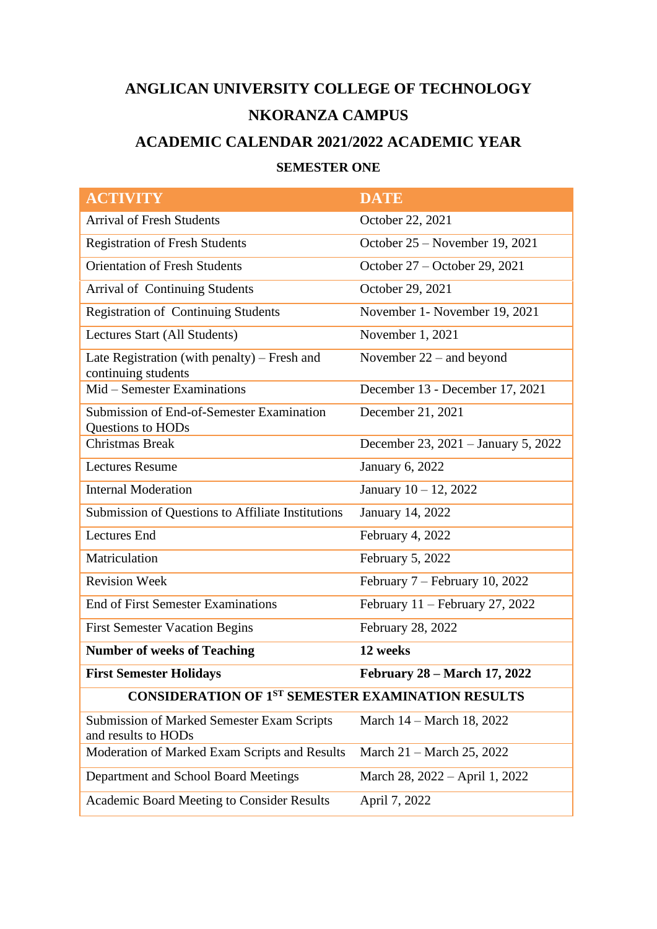# **ANGLICAN UNIVERSITY COLLEGE OF TECHNOLOGY NKORANZA CAMPUS**

# **ACADEMIC CALENDAR 2021/2022 ACADEMIC YEAR**

# **SEMESTER ONE**

| <b>ACTIVITY</b>                                                          | <b>DATE</b>                         |
|--------------------------------------------------------------------------|-------------------------------------|
| <b>Arrival of Fresh Students</b>                                         | October 22, 2021                    |
| <b>Registration of Fresh Students</b>                                    | October 25 – November 19, 2021      |
| <b>Orientation of Fresh Students</b>                                     | October 27 - October 29, 2021       |
| <b>Arrival of Continuing Students</b>                                    | October 29, 2021                    |
| <b>Registration of Continuing Students</b>                               | November 1- November 19, 2021       |
| Lectures Start (All Students)                                            | November 1, 2021                    |
| Late Registration (with penalty) – Fresh and<br>continuing students      | November $22$ – and beyond          |
| Mid – Semester Examinations                                              | December 13 - December 17, 2021     |
| Submission of End-of-Semester Examination<br>Questions to HODs           | December 21, 2021                   |
| <b>Christmas Break</b>                                                   | December 23, 2021 - January 5, 2022 |
| <b>Lectures Resume</b>                                                   | <b>January 6, 2022</b>              |
| <b>Internal Moderation</b>                                               | January 10 - 12, 2022               |
| Submission of Questions to Affiliate Institutions                        | January 14, 2022                    |
| <b>Lectures</b> End                                                      | February 4, 2022                    |
| Matriculation                                                            | February 5, 2022                    |
| <b>Revision Week</b>                                                     | February 7 – February 10, 2022      |
| <b>End of First Semester Examinations</b>                                | February $11$ – February 27, 2022   |
| <b>First Semester Vacation Begins</b>                                    | February 28, 2022                   |
| <b>Number of weeks of Teaching</b>                                       | 12 weeks                            |
| <b>First Semester Holidays</b>                                           | <b>February 28 – March 17, 2022</b> |
| <b>CONSIDERATION OF 1ST SEMESTER EXAMINATION RESULTS</b>                 |                                     |
| <b>Submission of Marked Semester Exam Scripts</b><br>and results to HODs | March 14 – March 18, 2022           |
| Moderation of Marked Exam Scripts and Results                            | March 21 – March 25, 2022           |
| Department and School Board Meetings                                     | March 28, 2022 – April 1, 2022      |
| <b>Academic Board Meeting to Consider Results</b>                        | April 7, 2022                       |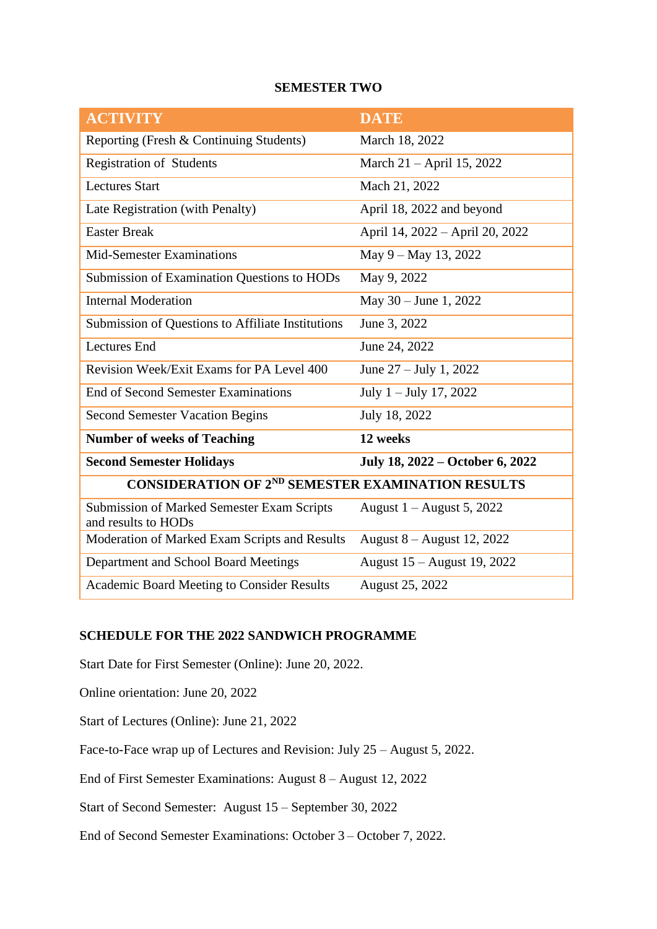#### **SEMESTER TWO**

| <b>ACTIVITY</b>                                                          | <b>DATE</b>                     |
|--------------------------------------------------------------------------|---------------------------------|
| Reporting (Fresh & Continuing Students)                                  | March 18, 2022                  |
| Registration of Students                                                 | March 21 – April 15, 2022       |
| <b>Lectures Start</b>                                                    | Mach 21, 2022                   |
| Late Registration (with Penalty)                                         | April 18, 2022 and beyond       |
| <b>Easter Break</b>                                                      | April 14, 2022 - April 20, 2022 |
| <b>Mid-Semester Examinations</b>                                         | May 9 - May 13, 2022            |
| Submission of Examination Questions to HODs                              | May 9, 2022                     |
| <b>Internal Moderation</b>                                               | May $30 -$ June 1, 2022         |
| Submission of Questions to Affiliate Institutions                        | June 3, 2022                    |
| <b>Lectures</b> End                                                      | June 24, 2022                   |
| Revision Week/Exit Exams for PA Level 400                                | June $27 -$ July 1, 2022        |
| <b>End of Second Semester Examinations</b>                               | July $1 -$ July 17, 2022        |
| <b>Second Semester Vacation Begins</b>                                   | July 18, 2022                   |
| <b>Number of weeks of Teaching</b>                                       | 12 weeks                        |
| <b>Second Semester Holidays</b>                                          | July 18, 2022 – October 6, 2022 |
| <b>CONSIDERATION OF 2ND SEMESTER EXAMINATION RESULTS</b>                 |                                 |
| <b>Submission of Marked Semester Exam Scripts</b><br>and results to HODs | August $1 -$ August 5, 2022     |
| Moderation of Marked Exam Scripts and Results                            | August 8 – August 12, 2022      |
| Department and School Board Meetings                                     | August 15 – August 19, 2022     |
| <b>Academic Board Meeting to Consider Results</b>                        | August 25, 2022                 |

### **SCHEDULE FOR THE 2022 SANDWICH PROGRAMME**

Start Date for First Semester (Online): June 20, 2022.

Online orientation: June 20, 2022

Start of Lectures (Online): June 21, 2022

Face-to-Face wrap up of Lectures and Revision: July 25 – August 5, 2022.

End of First Semester Examinations: August 8 – August 12, 2022

Start of Second Semester: August 15 – September 30, 2022

End of Second Semester Examinations: October 3 – October 7, 2022.